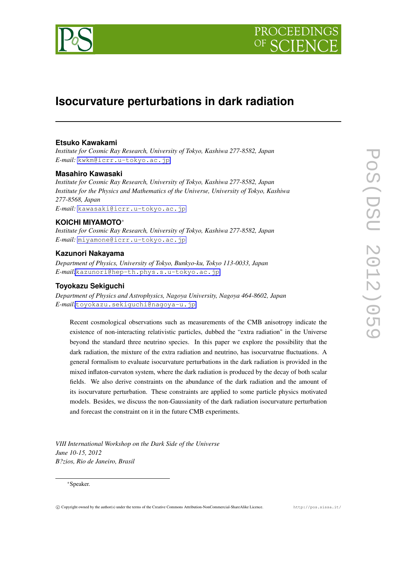



# **Isocurvature perturbations in dark radiation**

# **Etsuko Kawakami**

*Institute for Cosmic Ray Research, University of Tokyo, Kashiwa 277-8582, Japan E-mail:* [kwkm@icrr.u-tokyo.ac.jp](mailto:kwkm@icrr.u-tokyo.ac.jp)

## **Masahiro Kawasaki**

*Institute for Cosmic Ray Research, University of Tokyo, Kashiwa 277-8582, Japan Institute for the Physics and Mathematics of the Universe, University of Tokyo, Kashiwa 277-8568, Japan E-mail:* [kawasaki@icrr.u-tokyo.ac.jp](mailto:kawasaki@icrr.u-tokyo.ac.jp)

## **KOICHI MIYAMOTO***∗*

*Institute for Cosmic Ray Research, University of Tokyo, Kashiwa 277-8582, Japan E-mail:* [miyamone@icrr.u-tokyo.ac.jp](mailto:miyamone@icrr.u-tokyo.ac.jp)

# **Kazunori Nakayama**

*Department of Physics, University of Tokyo, Bunkyo-ku, Tokyo 113-0033, Japan E-mail:*[kazunori@hep-th.phys.s.u-tokyo.ac.jp](mailto:kazunori@hep-th.phys.s.u-tokyo.ac.jp)

# **Toyokazu Sekiguchi**

*Department of Physics and Astrophysics, Nagoya University, Nagoya 464-8602, Japan E-mail:*[toyokazu.sekiguchi@nagoya-u.jp](mailto:toyokazu.sekiguchi@nagoya-u.jp)

Recent cosmological observations such as measurements of the CMB anisotropy indicate the existence of non-interacting relativistic particles, dubbed the "extra radiation" in the Universe beyond the standard three neutrino species. In this paper we explore the possibility that the dark radiation, the mixture of the extra radiation and neutrino, has isocurvatrue fluctuations. A general formalism to evaluate isocurvature perturbations in the dark radiation is provided in the mixed inflaton-curvaton system, where the dark radiation is produced by the decay of both scalar fields. We also derive constraints on the abundance of the dark radiation and the amount of its isocurvature perturbation. These constraints are applied to some particle physics motivated models. Besides, we discuss the non-Gaussianity of the dark radiation isocurvature perturbation and forecast the constraint on it in the future CMB experiments.

*VIII International Workshop on the Dark Side of the Universe June 10-15, 2012 B?zios, Rio de Janeiro, Brasil*

### *∗*Speaker.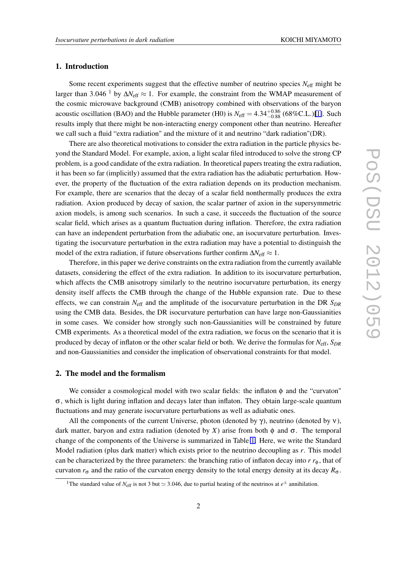## 1. Introduction

Some recent experiments suggest that the effective number of neutrino species *N*eff might be larger than 3*.*<sup>046</sup> <sup>1</sup> by <sup>∆</sup>*N*eff *<sup>≈</sup>* 1. For example, the constraint from the WMAP measurement of the cosmic microwave background (CMB) anisotropy combined with observations of the baryon acoustic oscillation (BAO) and the Hubble parameter (H0) is  $N_{\text{eff}} = 4.34_{-0.88}^{+0.86}$  (68%C.L.)[\[1\]](#page-6-0). Such results imply that there might be non-interacting energy component other than neutrino. Hereafter we call such a fluid "extra radiation" and the mixture of it and neutrino "dark radiation"(DR).

There are also theoretical motivations to consider the extra radiation in the particle physics beyond the Standard Model. For example, axion, a light scalar filed introduced to solve the strong CP problem, is a good candidate of the extra radiation. In theoretical papers treating the extra radiation, it has been so far (implicitly) assumed that the extra radiation has the adiabatic perturbation. However, the property of the fluctuation of the extra radiation depends on its production mechanism. For example, there are scenarios that the decay of a scalar field nonthermally produces the extra radiation. Axion produced by decay of saxion, the scalar partner of axion in the supersymmetric axion models, is among such scenarios. In such a case, it succeeds the fluctuation of the source scalar field, which arises as a quantum fluctuation during inflation. Therefore, the extra radiation can have an independent perturbation from the adiabatic one, an isocurvature perturbation. Investigating the isocurvature perturbation in the extra radiation may have a potential to distinguish the model of the extra radiation, if future observations further confirm ∆*N*eff *≈* 1.

Therefore, in this paper we derive constraints on the extra radiation from the currently available datasets, considering the effect of the extra radiation. In addition to its isocurvature perturbation, which affects the CMB anisotropy similarly to the neutrino isocurvature perturbation, its energy density itself affects the CMB through the change of the Hubble expansion rate. Due to these effects, we can constrain  $N_{\text{eff}}$  and the amplitude of the isocurvature perturbation in the DR  $S_{DR}$ using the CMB data. Besides, the DR isocurvature perturbation can have large non-Gaussianities in some cases. We consider how strongly such non-Gaussianities will be constrained by future CMB experiments. As a theoretical model of the extra radiation, we focus on the scenario that it is produced by decay of inflaton or the other scalar field or both. We derive the formulas for *N*eff, *SDR* and non-Gaussianities and consider the implication of observational constraints for that model.

### 2. The model and the formalism

We consider a cosmological model with two scalar fields: the inflaton  $\phi$  and the "curvaton" σ, which is light during inflation and decays later than inflaton. They obtain large-scale quantum fluctuations and may generate isocurvature perturbations as well as adiabatic ones.

All the components of the current Universe, photon (denoted by  $\gamma$ ), neutrino (denoted by  $\nu$ ), dark matter, baryon and extra radiation (denoted by *X*) arise from both  $\phi$  and  $\sigma$ . The temporal change of the components of the Universe is summarized in Table [1.](#page-2-0) Here, we write the Standard Model radiation (plus dark matter) which exists prior to the neutrino decoupling as *r*. This model can be characterized by the three parameters: the branching ratio of inflaton decay into  $r r_\phi$ , that of curvaton  $r_{\sigma}$  and the ratio of the curvaton energy density to the total energy density at its decay  $R_{\sigma}$ .

<sup>&</sup>lt;sup>1</sup>The standard value of  $N_{\text{eff}}$  is not 3 but  $\simeq$  3.046, due to partial heating of the neutrinos at  $e^{\pm}$  annihilation.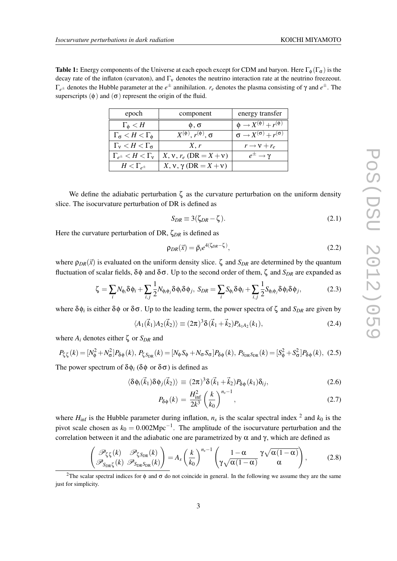<span id="page-2-0"></span>**Table 1:** Energy components of the Universe at each epoch except for CDM and baryon. Here  $\Gamma_{\phi}(\Gamma_{\sigma})$  is the decay rate of the inflaton (curvaton), and  $\Gamma_{\rm v}$  denotes the neutrino interaction rate at the neutrino freezeout. Γ*e<sup>±</sup>* denotes the Hubble parameter at the *e <sup>±</sup>* annihilation. *r<sup>e</sup>* denotes the plasma consisting of γ and *e ±*. The superscripts  $(\phi)$  and  $(\sigma)$  represent the origin of the fluid.

| epoch                                  | component                              | energy transfer                                  |
|----------------------------------------|----------------------------------------|--------------------------------------------------|
| $\Gamma_{\Phi} < H$                    | $\phi$ , $\sigma$                      | $\phi \rightarrow X^{(\phi)} + r^{(\phi)}$       |
| $\Gamma_{\sigma} < H < \Gamma_{\phi}$  | $X^{(\phi)}$ , $r^{(\phi)}$ , $\sigma$ | $\sigma \rightarrow X^{(\sigma)} + r^{(\sigma)}$ |
| $\Gamma_{\rm v} < H < \Gamma_{\sigma}$ | X, r                                   | $r \rightarrow v + r_e$                          |
| $\Gamma_{e^{\pm}} < H < \Gamma_{V}$    | $X, v, r_e$ (DR = $X + v$ )            | $e^{\pm} \rightarrow \gamma$                     |
| $H<\Gamma_{e^\pm}$                     | $X, y, \gamma$ (DR = $X + y$ )         |                                                  |

We define the adiabatic perturbation  $\zeta$  as the curvature perturbation on the uniform density slice. The isocurvature perturbation of DR is defined as

$$
S_{DR} \equiv 3(\zeta_{DR} - \zeta). \tag{2.1}
$$

Here the curvature perturbation of DR, ζ*DR* is defined as

$$
\rho_{DR}(\vec{x}) = \bar{\rho}_i e^{4(\zeta_{DR} - \zeta)},\tag{2.2}
$$

where  $\rho_{DR}(\vec{x})$  is evaluated on the uniform density slice.  $\zeta$  and  $S_{DR}$  are determined by the quantum fluctuation of scalar fields,  $\delta \phi$  and  $\delta \sigma$ . Up to the second order of them,  $\zeta$  and  $S_{DR}$  are expanded as

$$
\zeta = \sum_{i} N_{\phi_i} \delta \phi_i + \sum_{i,j} \frac{1}{2} N_{\phi_i \phi_j} \delta \phi_i \delta \phi_j, \ S_{DR} = \sum_{i} S_{\phi_i} \delta \phi_i + \sum_{i,j} \frac{1}{2} S_{\phi_i \phi_j} \delta \phi_i \delta \phi_j, \tag{2.3}
$$

where  $\delta \phi_i$  is either  $\delta \phi$  or  $\delta \sigma$ . Up to the leading term, the power spectra of  $\zeta$  and  $S_{DR}$  are given by

$$
\langle A_1(\vec{k}_1)A_2(\vec{k}_2) \rangle \equiv (2\pi)^3 \delta(\vec{k}_1 + \vec{k}_2) P_{A_1 A_2}(k_1), \tag{2.4}
$$

where  $A_i$  denotes either  $\zeta$  or  $S_{DR}$  and

$$
P_{\zeta\zeta}(k) = [N_{\phi}^2 + N_{\sigma}^2] P_{\delta\phi}(k), \ P_{\zeta S_{\text{DR}}}(k) = [N_{\phi} S_{\phi} + N_{\sigma} S_{\sigma}] P_{\delta\phi}(k), \ P_{S_{\text{DR}}S_{\text{DR}}}(k) = [S_{\phi}^2 + S_{\sigma}^2] P_{\delta\phi}(k), \tag{2.5}
$$

The power spectrum of  $\delta \phi_i$  ( $\delta \phi$  or  $\delta \sigma$ ) is defined as

$$
\langle \delta \phi_i(\vec{k}_1) \delta \phi_j(\vec{k}_2) \rangle \equiv (2\pi)^3 \delta (\vec{k}_1 + \vec{k}_2) P_{\delta \phi}(k_1) \delta_{ij}, \qquad (2.6)
$$

$$
P_{\delta\phi}(k) = \frac{H_{\text{inf}}^2}{2k^3} \left(\frac{k}{k_0}\right)^{n_s - 1},\tag{2.7}
$$

where  $H_{\text{inf}}$  is the Hubble parameter during inflation,  $n_s$  is the scalar spectral index  $^2$  and  $k_0$  is the pivot scale chosen as  $k_0 = 0.002 \text{Mpc}^{-1}$ . The amplitude of the isocurvature perturbation and the correlation between it and the adiabatic one are parametrized by α and γ, which are defined as

$$
\left(\frac{\mathscr{P}_{\zeta\zeta}(k)}{\mathscr{P}_{S_{\text{DR}}\zeta}(k)}\frac{\mathscr{P}_{\zeta S_{\text{DR}}}(k)}{\mathscr{P}_{S_{\text{DR}}S_{\text{DR}}}(k)}\right) = A_s \left(\frac{k}{k_0}\right)^{n_s-1} \left(\frac{1-\alpha}{\gamma \sqrt{\alpha(1-\alpha)}} \gamma \sqrt{\alpha(1-\alpha)} \right),\tag{2.8}
$$

<sup>&</sup>lt;sup>2</sup>The scalar spectral indices for  $\phi$  and  $\sigma$  do not coincide in general. In the following we assume they are the same just for simplicity.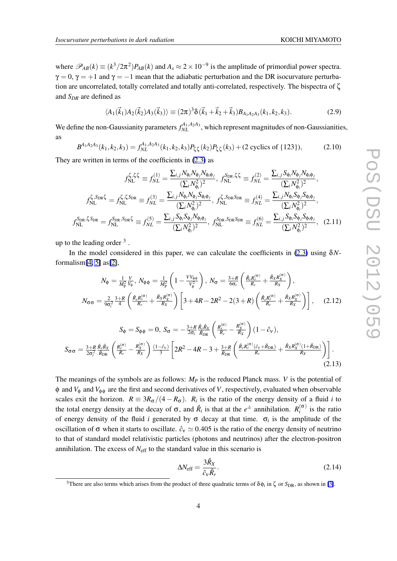<span id="page-3-0"></span>where  $\mathscr{P}_{AB}(k) \equiv (k^3/2\pi^2)P_{AB}(k)$  and  $A_s \approx 2 \times 10^{-9}$  is the amplitude of primordial power spectra.  $\gamma = 0$ ,  $\gamma = +1$  and  $\gamma = -1$  mean that the adiabatic perturbation and the DR isocurvature perturbation are uncorrelated, totally correlated and totally anti-correlated, respectively. The bispectra of ζ and *SDR* are defined as

$$
\langle A_1(\vec{k}_1)A_2(\vec{k}_2)A_3(\vec{k}_3)\rangle \equiv (2\pi)^3 \delta(\vec{k}_1 + \vec{k}_2 + \vec{k}_3)B_{A_1A_2A_3}(k_1, k_2, k_3). \tag{2.9}
$$

We define the non-Gaussianity parameters  $f_{NL}^{A_1, A_2A_3}$ , which represent magnitudes of non-Gaussianities, as

$$
B^{A_1 A_2 A_3}(k_1, k_2, k_3) = f_{NL}^{A_1, A_2 A_3}(k_1, k_2, k_3) P_{\zeta \zeta}(k_2) P_{\zeta \zeta}(k_3) + (2 \text{ cycles of } \{123\}),\tag{2.10}
$$

They are written in terms of the coefficients in [\(2.3\)](#page-2-0) as

$$
f_{\text{NL}}^{\zeta,\zeta\zeta} \equiv f_{NL}^{(1)} = \frac{\sum_{i,j} N_{\phi_i} N_{\phi_j} N_{\phi_i \phi_j}}{(\sum_i N_{\phi_i}^2)^2}, \ f_{NL}^{\zeta_{\text{DR}},\zeta\zeta} \equiv f_{NL}^{(2)} = \frac{\sum_{i,j} S_{\phi_i} N_{\phi_j} N_{\phi_i \phi_j}}{(\sum_i N_{\phi_i}^2)^2},
$$

$$
f_{NL}^{\zeta,\zeta_{\text{DR}}\zeta} = f_{NL}^{\zeta,\zeta\zeta_{\text{DR}}} \equiv f_{NL}^{(3)} = \frac{\sum_{i,j} N_{\phi_i} N_{\phi_j} S_{\phi_i \phi_j}}{(\sum_i N_{\phi_i}^2)^2}, \ f_{NL}^{\zeta,\zeta_{\text{DR}}\zeta_{\text{DR}}} \equiv f_{NL}^{(4)} = \frac{\sum_{i,j} N_{\phi_i} S_{\phi_j} S_{\phi_i \phi_j}}{(\sum_i N_{\phi_i}^2)^2},
$$

$$
f_{NL}^{\zeta_{\text{DR}},\zeta_{\text{DR}}} = f_{NL}^{\zeta_{\text{DR}}} = f_{NL}^{(5)} = \frac{\sum_{i,j} S_{\phi_i} S_{\phi_j} N_{\phi_i \phi_j}}{(\sum_i N_{\phi_i}^2)^2}, \ f_{NL}^{\zeta_{\text{DR}}\zeta_{\text{DR}}\zeta_{\text{DR}}} \equiv f_{NL}^{(6)} = \frac{\sum_{i,j} S_{\phi_i} S_{\phi_j} S_{\phi_i \phi_j}}{(\sum_i N_{\phi_i}^2)^2}, \quad (2.11)
$$

up to the leading order  $3$ .

In the model considered in this paper, we can calculate the coefficients in [\(2.3\)](#page-2-0) using δ*N*formalism $[4, 5]$  $[4, 5]$  $[4, 5]$  as $[2]$ ,

$$
N_{\phi} = \frac{1}{M_{\rm P}^2} \frac{V}{V_{\phi}}, \ N_{\phi\phi} = \frac{1}{M_{\rm P}^2} \left( 1 - \frac{V V_{\phi\phi}}{V_{\phi}^2} \right), \ N_{\sigma} = \frac{3+R}{6\sigma_i} \left( \frac{\hat{R}_r R_r^{(\sigma)}}{R_r} + \frac{\hat{R}_X R_X^{(\sigma)}}{R_X} \right),
$$

$$
N_{\sigma\sigma} = \frac{2}{9\sigma_i^2} \frac{3+R}{4} \left( \frac{\hat{R}_r R_r^{(\sigma)}}{R_r} + \frac{\hat{R}_X R_X^{(\sigma)}}{R_X} \right) \left[ 3 + 4R - 2R^2 - 2(3+R) \left( \frac{\hat{R}_r R_r^{(\sigma)}}{R_r} + \frac{\hat{R}_X R_X^{(\sigma)}}{R_X} \right) \right], \quad (2.12)
$$

$$
S_{\phi} = S_{\phi\phi} = 0, \ S_{\sigma} = -\frac{3+R}{2\sigma_i} \frac{\hat{R}_r \hat{R}_X}{\hat{R}_{DR}} \left( \frac{R_r^{(\sigma)}}{R_r} - \frac{R_X^{(\sigma)}}{R_X} \right) (1 - \hat{c}_V),
$$
  

$$
S_{\sigma\sigma} = \frac{3+R}{2\sigma_i^2} \frac{\hat{R}_r \hat{R}_X}{\hat{R}_{DR}} \left( \frac{R_r^{(\sigma)}}{R_r} - \frac{R_X^{(\sigma)}}{R_X} \right) \frac{(1-\hat{c}_V)}{3} \left[ 2R^2 - 4R - 3 + \frac{3+R}{\hat{R}_{DR}} \left( \frac{\hat{R}_r R_r^{(\sigma)} (\hat{c}_V + \hat{R}_{DR})}{R_r} + \frac{\hat{R}_X R_X^{(\sigma)} (1+\hat{R}_{DR})}{R_X} \right) \right].
$$
\n(2.13)

The meanings of the symbols are as follows: *M<sup>P</sup>* is the reduced Planck mass. *V* is the potential of  $\phi$  and  $V_{\phi}$  and  $V_{\phi\phi}$  are the first and second derivatives of *V*, respectively, evaluated when observable scales exit the horizon.  $R = 3R_{\sigma}/(4 - R_{\sigma})$ .  $R_i$  is the ratio of the energy density of a fluid *i* to the total energy density at the decay of  $\sigma$ , and  $\hat{R}_i$  is that at the  $e^{\pm}$  annihilation.  $R_i^{(\sigma)}$  $i_i^{(0)}$  is the ratio of energy density of the fluid *i* generated by  $\sigma$  decay at that time.  $\sigma_i$  is the amplitude of the oscillation of  $\sigma$  when it starts to oscillate.  $\hat{c}_v \approx 0.405$  is the ratio of the energy density of neutrino to that of standard model relativistic particles (photons and neutrinos) after the electron-positron annihilation. The excess of  $N_{\text{eff}}$  to the standard value in this scenario is

$$
\Delta N_{\rm eff} = \frac{3\hat{R}_X}{\hat{c}_V \hat{R}_r}.
$$
\n(2.14)

<sup>&</sup>lt;sup>3</sup>There are also terms which arises from the product of three quadratic terms of  $\delta\phi_i$  in  $\zeta$  or  $S_{\text{DR}}$ , as shown in [\[3\]](#page-6-0).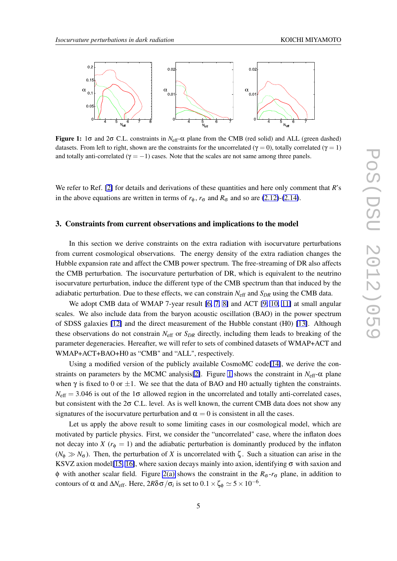

Figure 1: 1σ and 2σ C.L. constraints in *N*eff-α plane from the CMB (red solid) and ALL (green dashed) datasets. From left to right, shown are the constraints for the uncorrelated ( $\gamma = 0$ ), totally correlated ( $\gamma = 1$ ) and totally anti-correlated ( $\gamma = -1$ ) cases. Note that the scales are not same among three panels.

We refer to Ref. [\[2\]](#page-6-0) for details and derivations of these quantities and here only comment that *R*'s in the above equations are written in terms of  $r_{\phi}$ ,  $r_{\sigma}$  and  $R_{\sigma}$  and so are [\(2.12\)](#page-3-0)-[\(2.14\)](#page-3-0).

### 3. Constraints from current observations and implications to the model

In this section we derive constraints on the extra radiation with isocurvature perturbations from current cosmological observations. The energy density of the extra radiation changes the Hubble expansion rate and affect the CMB power spectrum. The free-streaming of DR also affects the CMB perturbation. The isocurvature perturbation of DR, which is equivalent to the neutrino isocurvature perturbation, induce the different type of the CMB spectrum than that induced by the adiabatic perturbation. Due to these effects, we can constrain  $N_{\text{eff}}$  and  $S_{DR}$  using the CMB data.

We adopt CMB data of WMAP 7-year result [\[6,](#page-7-0) [7,](#page-7-0) [8\]](#page-7-0) and ACT [\[9,](#page-7-0) [10,](#page-7-0) [11\]](#page-7-0) at small angular scales. We also include data from the baryon acoustic oscillation (BAO) in the power spectrum of SDSS galaxies [\[12\]](#page-7-0) and the direct measurement of the Hubble constant (H0) [\[13\]](#page-7-0). Although these observations do not constrain *N*eff or *SDR* directly, including them leads to breaking of the parameter degeneracies. Hereafter, we will refer to sets of combined datasets of WMAP+ACT and WMAP+ACT+BAO+H0 as "CMB" and "ALL", respectively.

Using a modified version of the publicly available CosmoMC code[\[14\]](#page-7-0), we derive the constraints on parameters by the MCMC analysis[\[2\]](#page-6-0). Figure 1 shows the constraint in *N*eff-α plane when  $\gamma$  is fixed to 0 or  $\pm 1$ . We see that the data of BAO and H0 actually tighten the constraints.  $N_{\text{eff}} = 3.046$  is out of the 1 $\sigma$  allowed region in the uncorrelated and totally anti-correlated cases, but consistent with the  $2\sigma$  C.L. level. As is well known, the current CMB data does not show any signatures of the isocurvature perturbation and  $\alpha = 0$  is consistent in all the cases.

Let us apply the above result to some limiting cases in our cosmological model, which are motivated by particle physics. First, we consider the "uncorrelated" case, where the inflaton does not decay into *X* ( $r_{\phi} = 1$ ) and the adiabatic perturbation is dominantly produced by the inflaton  $(N_{\phi} \gg N_{\sigma})$ . Then, the perturbation of *X* is uncorrelated with  $\zeta$ . Such a situation can arise in the KSVZ axion model [\[15,](#page-7-0) [16\]](#page-7-0), where saxion decays mainly into axion, identifying  $\sigma$  with saxion and φ with another scalar field. Figure [2\(a\)](#page-5-0) shows the constraint in the  $R_{\sigma}$ - $r_{\sigma}$  plane, in addition to contours of  $\alpha$  and  $\Delta N_{\text{eff}}$ . Here,  $2R\delta\sigma/\sigma_i$  is set to  $0.1 \times \zeta_{\phi} \simeq 5 \times 10^{-6}$ .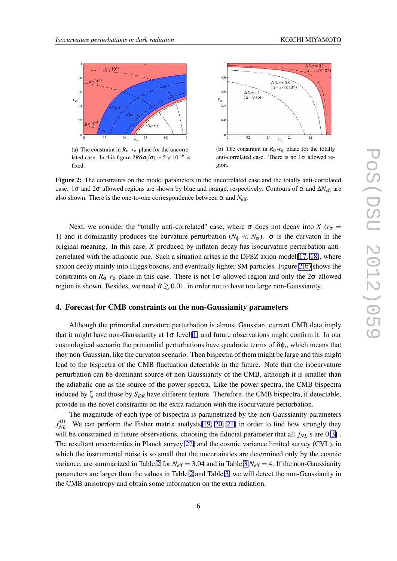<span id="page-5-0"></span>

(a) The constraint in  $R_{\sigma}$ - $r_{\sigma}$  plane for the uncorrelated case. In this figure  $2R\delta\sigma/\sigma_i \simeq 5 \times 10^{-6}$  is fixed.



(b) The constraint in  $R_{\sigma}$ - $r_{\phi}$  plane for the totally anti-correlated case. There is no  $1\sigma$  allowed region.

Figure 2: The constraints on the model parameters in the uncorrelated case and the totally anti-correlated case. 1 $\sigma$  and 2 $\sigma$  allowed regions are shown by blue and orange, respectively. Contours of  $\alpha$  and  $\Delta N_{\rm eff}$  are also shown. There is the one-to-one correspondence between  $\alpha$  and  $N_{\text{eff}}$ .

Next, we consider the "totally anti-correlated" case, where  $\sigma$  does not decay into *X* ( $r_{\sigma}$  = 1) and it dominantly produces the curvature perturbation ( $N_{\phi} \ll N_{\sigma}$ ).  $\sigma$  is the curvaton in the original meaning. In this case, *X* produced by inflaton decay has isocurvature perturbation anti-correlated with the adiabatic one. Such a situation arises in the DFSZ axion model[\[17,](#page-7-0) [18\]](#page-7-0), where saxion decay mainly into Higgs bosons, and eventually lighter SM particles. Figure 2(b) shows the constraints on  $R_{\sigma}$ - $r_{\phi}$  plane in this case. There is not 1 $\sigma$  allowed region and only the 2 $\sigma$  allowed region is shown. Besides, we need  $R \gtrsim 0.01$ , in order not to have too large non-Gaussianity.

### 4. Forecast for CMB constraints on the non-Gaussianity parameters

Although the primordial curvature perturbation is almost Gaussian, current CMB data imply that it might have non-Gaussianity at  $1\sigma$  level[\[1\]](#page-6-0) and future observations might confirm it. In our cosmological scenario the primordial perturbations have quadratic terms of  $\delta \phi_i$ , which means that they non-Gaussian, like the curvaton scenario. Then bispectra of them might be large and this might lead to the bispectra of the CMB fluctuation detectable in the future. Note that the isocurvature perturbation can be dominant source of non-Gaussianity of the CMB, although it is smaller than the adiabatic one as the source of the power spectra. Like the power spectra, the CMB bispectra induced by ζ and those by *SDR* have different feature. Therefore, the CMB bispectra, if detectable, provide us the novel constraints on the extra radiation with the isocurvature perturbation.

The magnitude of each type of bispectra is parametrized by the non-Gaussianity parameters  $f_{NL}^{(i)}$ . We can perform the Fisher matrix analysis[\[19,](#page-7-0) [20,](#page-7-0) [21\]](#page-7-0) in order to find how strongly they will be constrained in future observations, choosing the fiducial parameter that all *fNL*'s are 0[\[3\]](#page-6-0) . The resultant uncertainties in Planck survey[\[22\]](#page-7-0) and the cosmic variance limited survey (CVL), in which the instrumental noise is so small that the uncertainties are determined only by the cosmic variance, are summarized in Table [2](#page-6-0) for  $N_{\text{eff}} = 3.04$  $N_{\text{eff}} = 3.04$  $N_{\text{eff}} = 3.04$  and in Table 3  $N_{\text{eff}} = 4$ . If the non-Gaussianity parameters are larger than the values in Table [2](#page-6-0) and Table [3,](#page-6-0) we will detect the non-Gaussianity in the CMB anisotropy and obtain some information on the extra radiation.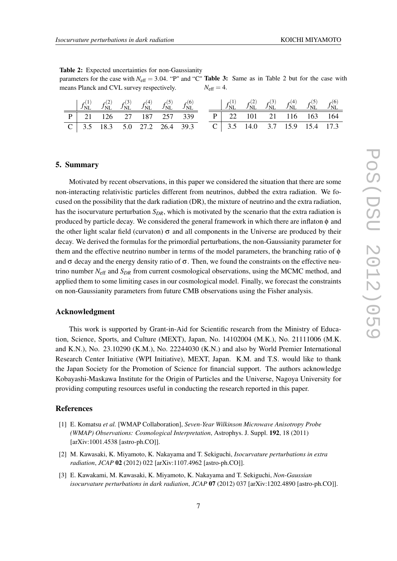<span id="page-6-0"></span>Table 2: Expected uncertainties for non-Gaussianity parameters for the case with  $N_{\text{eff}} = 3.04$ . "P" and "C" **Table 3:** Same as in Table 2 but for the case with

| means Planck and CVL survey respectively. |  |  |  |  |  |  | $N_{\rm eff}=4.$ |                                                                                                                           |  |  |  |  |  |
|-------------------------------------------|--|--|--|--|--|--|------------------|---------------------------------------------------------------------------------------------------------------------------|--|--|--|--|--|
|                                           |  |  |  |  |  |  |                  | $(c_1(c_2)$ $c_3(c_3)$ $c_5(c_4)$ $c_6(c_5)$ $c_7(c_6)$ $c_7(c_7)$ $c_7(c_7)$ $c_7(c_7)$ $c_7(c_7)$ $c_7(c_7)$ $c_7(c_7)$ |  |  |  |  |  |

|  |  | $\begin{vmatrix} f_{\text{NL}}^{(1)} & f_{\text{NL}}^{(2)} & f_{\text{NL}}^{(3)} & f_{\text{NL}}^{(4)} & f_{\text{NL}}^{(5)} & f_{\text{NL}}^{(6)} \end{vmatrix}$ |                                 |  |  |  | $\begin{bmatrix} f_{\text{NL}}^{(1)} & f_{\text{NL}}^{(2)} & f_{\text{NL}}^{(3)} & f_{\text{NL}}^{(4)} & f_{\text{NL}}^{(5)} & f_{\text{NL}}^{(6)} \end{bmatrix}$ |  |
|--|--|-------------------------------------------------------------------------------------------------------------------------------------------------------------------|---------------------------------|--|--|--|-------------------------------------------------------------------------------------------------------------------------------------------------------------------|--|
|  |  | P 21 126 27 187 257 339                                                                                                                                           |                                 |  |  |  | P   22 101 21 116 163 164                                                                                                                                         |  |
|  |  |                                                                                                                                                                   | $C$ 3.5 18.3 5.0 27.2 26.4 39.3 |  |  |  | $C$   3.5 14.0 3.7 15.9 15.4 17.3                                                                                                                                 |  |

#### 5. Summary

Motivated by recent observations, in this paper we considered the situation that there are some non-interacting relativistic particles different from neutrinos, dubbed the extra radiation. We focused on the possibility that the dark radiation (DR), the mixture of neutrino and the extra radiation, has the isocurvature perturbation *SDR*, which is motivated by the scenario that the extra radiation is produced by particle decay. We considered the general framework in which there are inflaton φ and the other light scalar field (curvaton)  $\sigma$  and all components in the Universe are produced by their decay. We derived the formulas for the primordial perturbations, the non-Gaussianity parameter for them and the effective neutrino number in terms of the model parameters, the branching ratio of  $\phi$ and  $\sigma$  decay and the energy density ratio of  $\sigma$ . Then, we found the constraints on the effective neutrino number *N*eff and *SDR* from current cosmological observations, using the MCMC method, and applied them to some limiting cases in our cosmological model. Finally, we forecast the constraints on non-Gaussianity parameters from future CMB observations using the Fisher analysis.

#### Acknowledgment

This work is supported by Grant-in-Aid for Scientific research from the Ministry of Education, Science, Sports, and Culture (MEXT), Japan, No. 14102004 (M.K.), No. 21111006 (M.K. and K.N.), No. 23.10290 (K.M.), No. 22244030 (K.N.) and also by World Premier International Research Center Initiative (WPI Initiative), MEXT, Japan. K.M. and T.S. would like to thank the Japan Society for the Promotion of Science for financial support. The authors acknowledge Kobayashi-Maskawa Institute for the Origin of Particles and the Universe, Nagoya University for providing computing resources useful in conducting the research reported in this paper.

## References

- [1] E. Komatsu *et al.* [WMAP Collaboration], *Seven-Year Wilkinson Microwave Anisotropy Probe (WMAP) Observations: Cosmological Interpretation*, Astrophys. J. Suppl. 192, 18 (2011) [arXiv:1001.4538 [astro-ph.CO]].
- [2] M. Kawasaki, K. Miyamoto, K. Nakayama and T. Sekiguchi, *Isocurvature perturbations in extra radiation*, *JCAP* 02 (2012) 022 [arXiv:1107.4962 [astro-ph.CO]].
- [3] E. Kawakami, M. Kawasaki, K. Miyamoto, K. Nakayama and T. Sekiguchi, *Non-Gaussian isocurvature perturbations in dark radiation, JCAP 07 (2012) 037 [arXiv:1202.4890 [astro-ph.CO]].*